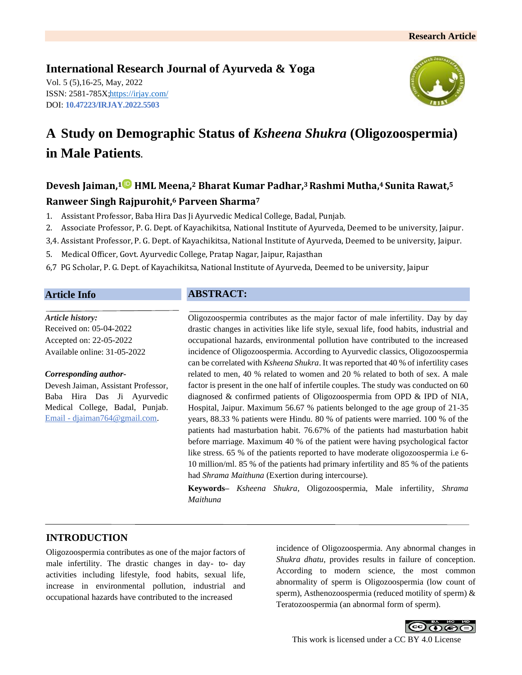# **International Research Journal of Ayurveda & Yoga**

Vol. 5 (5),16-25, May, 2022 ISSN: 2581-785X[; https://irjay.com/](https://irjay.com/) DOI: **10.47223/IRJAY.2022.5503**



# **A Study on Demographic Status of** *Ksheena Shukra* **(Oligozoospermia) in Male Patients.**

# **Devesh Jaiman, <sup>1</sup> HML Meena, <sup>2</sup> Bharat Kumar Padhar, <sup>3</sup>Rashmi Mutha, <sup>4</sup>Sunita Rawat, 5**

# **Ranweer Singh Rajpurohit, <sup>6</sup> Parveen Sharma<sup>7</sup>**

- 1. Assistant Professor, Baba Hira Das Ji Ayurvedic Medical College, Badal, Punjab.
- 2. Associate Professor, P. G. Dept. of Kayachikitsa, National Institute of Ayurveda, Deemed to be university, Jaipur.
- 3,4. Assistant Professor, P. G. Dept. of Kayachikitsa, National Institute of Ayurveda, Deemed to be university, Jaipur.
- 5. Medical Officer, Govt. Ayurvedic College, Pratap Nagar, Jaipur, Rajasthan
- 6,7 PG Scholar, P. G. Dept. of Kayachikitsa, National Institute of Ayurveda, Deemed to be university, Jaipur

# **Article Info**

#### *Article history:*

Received on: 05-04-2022 Accepted on: 22-05-2022 Available online: 31-05-2022

#### *Corresponding author-*

Devesh Jaiman, Assistant Professor, Baba Hira Das Ji Ayurvedic Medical College, Badal, Punjab. Email - djaiman764@gmail.com.

# **ABSTRACT:**

Oligozoospermia contributes as the major factor of male infertility. Day by day drastic changes in activities like life style, sexual life, food habits, industrial and occupational hazards, environmental pollution have contributed to the increased incidence of Oligozoospermia. According to Ayurvedic classics, Oligozoospermia can be correlated with *Ksheena Shukra*. It was reported that 40 % of infertility cases related to men, 40 % related to women and 20 % related to both of sex. A male factor is present in the one half of infertile couples. The study was conducted on 60 diagnosed & confirmed patients of Oligozoospermia from OPD & IPD of NIA, Hospital, Jaipur. Maximum 56.67 % patients belonged to the age group of 21-35 years, 88.33 % patients were Hindu. 80 % of patients were married. 100 % of the patients had masturbation habit. 76.67% of the patients had masturbation habit before marriage. Maximum 40 % of the patient were having psychological factor like stress. 65 % of the patients reported to have moderate oligozoospermia i.e 6- 10 million/ml. 85 % of the patients had primary infertility and 85 % of the patients had *Shrama Maithuna* (Exertion during intercourse).

**Keywords***– Ksheena Shukra,* Oligozoospermia, Male infertility, *Shrama Maithuna*

# **INTRODUCTION**

Oligozoospermia contributes as one of the major factors of male infertility. The drastic changes in day- to- day activities including lifestyle, food habits, sexual life, increase in environmental pollution, industrial and occupational hazards have contributed to the increased

incidence of Oligozoospermia. Any abnormal changes in *Shukra dhatu*, provides results in failure of conception. According to modern science, the most common abnormality of sperm is Oligozoospermia (low count of sperm), Asthenozoospermia (reduced motility of sperm) & Teratozoospermia (an abnormal form of sperm).

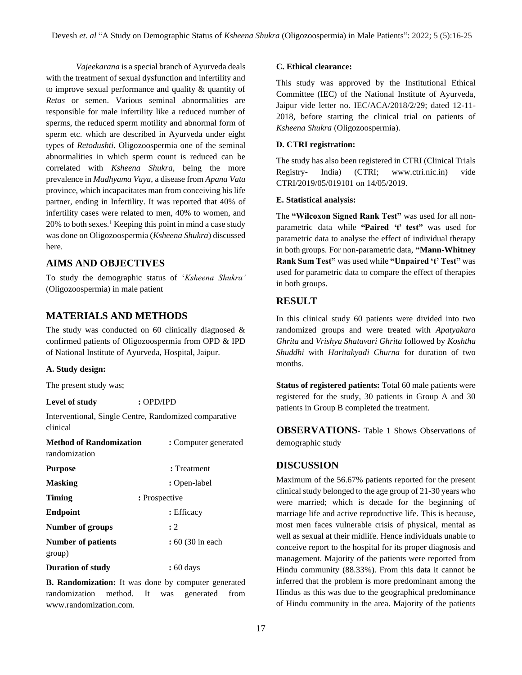*Vajeekarana* is a special branch of Ayurveda deals with the treatment of sexual dysfunction and infertility and to improve sexual performance and quality & quantity of *Retas* or semen. Various seminal abnormalities are responsible for male infertility like a reduced number of sperms, the reduced sperm motility and abnormal form of sperm etc. which are described in Ayurveda under eight types of *Retodushti*. Oligozoospermia one of the seminal abnormalities in which sperm count is reduced can be correlated with *Ksheena Shukra*, being the more prevalence in *Madhyama Vaya*, a disease from *Apana Vata*  province, which incapacitates man from conceiving his life partner, ending in Infertility. It was reported that 40% of infertility cases were related to men, 40% to women, and  $20\%$  to both sexes.<sup>1</sup> Keeping this point in mind a case study was done on Oligozoospermia (*Ksheena Shukra*) discussed here.

# **AIMS AND OBJECTIVES**

To study the demographic status of '*Ksheena Shukra'* (Oligozoospermia) in male patient

# **MATERIALS AND METHODS**

The study was conducted on 60 clinically diagnosed  $\&$ confirmed patients of Oligozoospermia from OPD & IPD of National Institute of Ayurveda, Hospital, Jaipur.

#### **A. Study design:**

The present study was;

#### **Level of study :** OPD/IPD

**Interventional, Single Centre, Randomized comparative** clinical

| <b>Method of Randomization</b><br>randomization | : Computer generated |
|-------------------------------------------------|----------------------|
| <b>Purpose</b>                                  | : Treatment          |
| <b>Masking</b>                                  | : Open-label         |
| <b>Timing</b>                                   | : Prospective        |
| <b>Endpoint</b>                                 | : Efficacy           |
| Number of groups                                | :2                   |
| <b>Number of patients</b><br>group)             | : 60 (30 in each)    |
| <b>Duration of study</b>                        | : 60 days            |

**B. Randomization:** It was done by computer generated randomization method. It was generated from www.randomization.com.

#### **C. Ethical clearance:**

This study was approved by the Institutional Ethical Committee (IEC) of the National Institute of Ayurveda, Jaipur vide letter no. IEC/ACA/2018/2/29; dated 12-11- 2018, before starting the clinical trial on patients of *Ksheena Shukra* (Oligozoospermia).

#### **D. CTRI registration:**

The study has also been registered in CTRI (Clinical Trials Registry- India) (CTRI; www.ctri.nic.in) vide CTRI/2019/05/019101 on 14/05/2019.

#### **E. Statistical analysis:**

The **"Wilcoxon Signed Rank Test"** was used for all nonparametric data while **"Paired 't' test"** was used for parametric data to analyse the effect of individual therapy in both groups. For non-parametric data, **"Mann-Whitney Rank Sum Test"** was used while **"Unpaired 't' Test"** was used for parametric data to compare the effect of therapies in both groups.

### **RESULT**

In this clinical study 60 patients were divided into two randomized groups and were treated with *Apatyakara Ghrita* and *Vrishya Shatavari Ghrita* followed by *Koshtha Shuddhi* with *Haritakyadi Churna* for duration of two months.

**Status of registered patients:** Total 60 male patients were registered for the study, 30 patients in Group A and 30 patients in Group B completed the treatment.

**OBSERVATIONS**- Table 1 Shows Observations of demographic study

#### **DISCUSSION**

Maximum of the 56.67% patients reported for the present clinical study belonged to the age group of 21-30 years who were married; which is decade for the beginning of marriage life and active reproductive life. This is because, most men faces vulnerable crisis of physical, mental as well as sexual at their midlife. Hence individuals unable to conceive report to the hospital for its proper diagnosis and management. Majority of the patients were reported from Hindu community (88.33%). From this data it cannot be inferred that the problem is more predominant among the Hindus as this was due to the geographical predominance of Hindu community in the area. Majority of the patients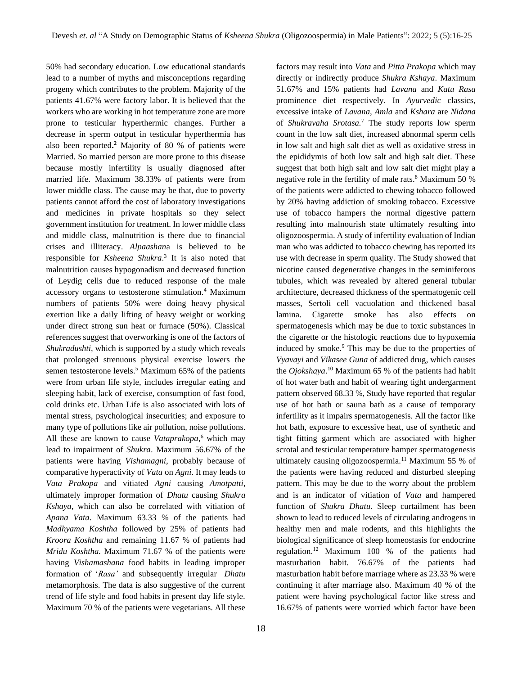50% had secondary education. Low educational standards lead to a number of myths and misconceptions regarding progeny which contributes to the problem. Majority of the patients 41.67% were factory labor. It is believed that the workers who are working in hot temperature zone are more prone to testicular hyperthermic changes. Further a decrease in sperm output in testicular hyperthermia has also been reported**. <sup>2</sup>** Majority of 80 % of patients were Married. So married person are more prone to this disease because mostly infertility is usually diagnosed after married life. Maximum 38.33% of patients were from lower middle class. The cause may be that, due to poverty patients cannot afford the cost of laboratory investigations and medicines in private hospitals so they select government institution for treatment. In lower middle class and middle class, malnutrition is there due to financial crises and illiteracy. *Alpaashan*a is believed to be responsible for *Ksheena Shukra*. 3 It is also noted that malnutrition causes hypogonadism and decreased function of Leydig cells due to reduced response of the male accessory organs to testosterone stimulation.<sup>4</sup> Maximum numbers of patients 50% were doing heavy physical exertion like a daily lifting of heavy weight or working under direct strong sun heat or furnace (50%). Classical references suggest that overworking is one of the factors of *Shukradushti,* which is supported by a study which reveals that prolonged strenuous physical exercise lowers the semen testosterone levels.<sup>5</sup> Maximum 65% of the patients were from urban life style, includes irregular eating and sleeping habit, lack of exercise, consumption of fast food, cold drinks etc. Urban Life is also associated with lots of mental stress, psychological insecurities; and exposure to many type of pollutions like air pollution, noise pollutions. All these are known to cause *Vataprakopa*, <sup>6</sup> which may lead to impairment of *Shukra*. Maximum 56.67% of the patients were having *Vishamagni*, probably because of comparative hyperactivity of *Vata* on *Agni*. It may leads to *Vata Prakopa* and vitiated *Agni* causing *Amotpatti*, ultimately improper formation of *Dhatu* causing *Shukra Kshaya*, which can also be correlated with vitiation of *Apana Vata*. Maximum 63.33 % of the patients had *Madhyama Koshtha* followed by 25% of patients had *Kroora Koshtha* and remaining 11.67 % of patients had *Mridu Koshtha.* Maximum 71.67 % of the patients were having *Vishamashana* food habits in leading improper formation of '*Rasa'* and subsequently irregular *Dhatu*  metamorphosis. The data is also suggestive of the current trend of life style and food habits in present day life style. Maximum 70 % of the patients were vegetarians. All these

factors may result into *Vata* and *Pitta Prakopa* which may directly or indirectly produce *Shukra Kshaya*. Maximum 51.67% and 15% patients had *Lavana* and *Katu Rasa*  prominence diet respectively. In *Ayurvedic* classics, excessive intake of *Lavana, Amla* and *Kshara* are *Nidana*  of *Shukravaha Srotasa.*<sup>7</sup> The study reports low sperm count in the low salt diet, increased abnormal sperm cells in low salt and high salt diet as well as oxidative stress in the epididymis of both low salt and high salt diet. These suggest that both high salt and low salt diet might play a negative role in the fertility of male rats.<sup>8</sup> Maximum 50 % of the patients were addicted to chewing tobacco followed by 20% having addiction of smoking tobacco. Excessive use of tobacco hampers the normal digestive pattern resulting into malnourish state ultimately resulting into oligozoospermia. A study of infertility evaluation of Indian man who was addicted to tobacco chewing has reported its use with decrease in sperm quality*.* The Study showed that nicotine caused degenerative changes in the seminiferous tubules, which was revealed by altered general tubular architecture, decreased thickness of the spermatogenic cell masses, Sertoli cell vacuolation and thickened basal lamina. Cigarette smoke has also effects on spermatogenesis which may be due to toxic substances in the cigarette or the histologic reactions due to hypoxemia induced by smoke.<sup>9</sup> This may be due to the properties of *Vyavayi* and *Vikasee Guna* of addicted drug, which causes the *Ojokshaya*. <sup>10</sup> Maximum 65 % of the patients had habit of hot water bath and habit of wearing tight undergarment pattern observed 68.33 %, Study have reported that regular use of hot bath or sauna bath as a cause of temporary infertility as it impairs spermatogenesis. All the factor like hot bath, exposure to excessive heat, use of synthetic and tight fitting garment which are associated with higher scrotal and testicular temperature hamper spermatogenesis ultimately causing oligozoospermia.<sup>11</sup> Maximum 55 % of the patients were having reduced and disturbed sleeping pattern. This may be due to the worry about the problem and is an indicator of vitiation of *Vata* and hampered function of *Shukra Dhatu.* Sleep curtailment has been shown to lead to reduced levels of circulating androgens in healthy men and male rodents, and this highlights the biological significance of sleep homeostasis for endocrine regulation.<sup>12</sup> Maximum 100 % of the patients had masturbation habit. 76.67% of the patients had masturbation habit before marriage where as 23.33 % were continuing it after marriage also. Maximum 40 % of the patient were having psychological factor like stress and 16.67% of patients were worried which factor have been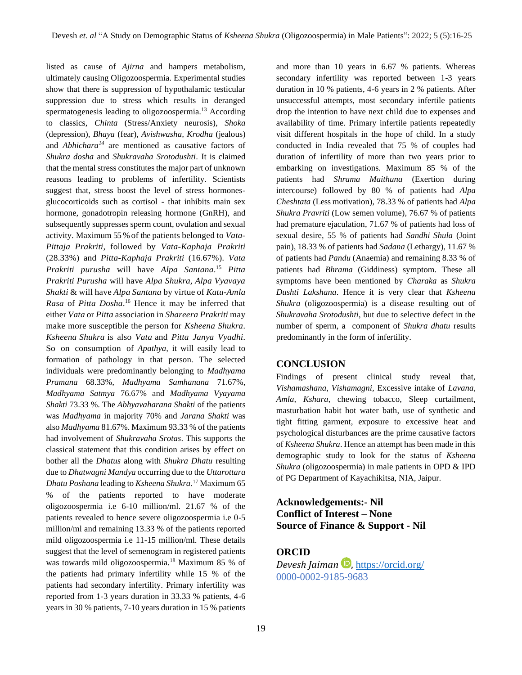listed as cause of *Ajirna* and hampers metabolism, ultimately causing Oligozoospermia. Experimental studies show that there is suppression of hypothalamic testicular suppression due to stress which results in deranged spermatogenesis leading to oligozoospermia.<sup>13</sup> According to classics, *Chinta* (Stress/Anxiety neurosis), *Shoka*  (depression), *Bhaya* (fear), *Avishwasha, Krodha* (jealous) and *Abhichara<sup>14</sup>* are mentioned as causative factors of *Shukra dosha* and *Shukravaha Srotodushti*. It is claimed that the mental stress constitutes the major part of unknown reasons leading to problems of infertility. Scientists suggest that, stress boost the level of stress hormonesglucocorticoids such as cortisol - that inhibits main sex hormone, gonadotropin releasing hormone (GnRH), and subsequently suppresses sperm count, ovulation and sexual activity. Maximum 55 % of the patients belonged to *Vata-Pittaja Prakriti*, followed by *Vata-Kaphaja Prakriti*  (28.33%) and *Pitta-Kaphaja Prakriti* (16.67%). *Vata Prakriti purusha* will have *Alpa Santana*. <sup>15</sup> *Pitta Prakriti Purusha* will have *Alpa Shukra, Alpa Vyavaya Shakti* & will have *Alpa Santana* by virtue of *Katu-Amla Rasa* of *Pitta Dosha*. <sup>16</sup> Hence it may be inferred that either *Vata* or *Pitta* association in *Shareera Prakriti* may make more susceptible the person for *Ksheena Shukra*. *Ksheena Shukra* is also *Vata* and *Pitta Janya Vyadhi*. So on consumption of *Apathya*, it will easily lead to formation of pathology in that person. The selected individuals were predominantly belonging to *Madhyama Pramana* 68.33%*, Madhyama Samhanana* 71.67%, *Madhyama Satmya* 76.67% and *Madhyama Vyayama Shakti* 73.33 %. The *Abhyavaharana Shakti* of the patients was *Madhyama* in majority 70% and *Jarana Shakti* was also *Madhyama* 81.67%. Maximum 93.33 % of the patients had involvement of *Shukravaha Srotas*. This supports the classical statement that this condition arises by effect on bother all the *Dhatus* along with *Shukra Dhatu* resulting due to *Dhatwagni Mandya* occurring due to the *Uttarottara Dhatu Poshana* leading to *Ksheena Shukra.*<sup>17</sup> Maximum 65 % of the patients reported to have moderate oligozoospermia i.e 6-10 million/ml. 21.67 % of the patients revealed to hence severe oligozoospermia i.e 0-5 million/ml and remaining 13.33 % of the patients reported mild oligozoospermia i.e 11-15 million/ml. These details suggest that the level of semenogram in registered patients was towards mild oligozoospermia.<sup>18</sup> Maximum 85 % of the patients had primary infertility while 15 % of the patients had secondary infertility. Primary infertility was reported from 1-3 years duration in 33.33 % patients, 4-6 years in 30 % patients, 7-10 years duration in 15 % patients

and more than 10 years in 6.67 % patients. Whereas secondary infertility was reported between 1-3 years duration in 10 % patients, 4-6 years in 2 % patients. After unsuccessful attempts, most secondary infertile patients drop the intention to have next child due to expenses and availability of time. Primary infertile patients repeatedly visit different hospitals in the hope of child. In a study conducted in India revealed that 75 % of couples had duration of infertility of more than two years prior to embarking on investigations. Maximum 85 % of the patients had *Shrama Maithuna* (Exertion during intercourse) followed by 80 % of patients had *Alpa Cheshtata* (Less motivation)*,* 78.33 % of patients had *Alpa Shukra Pravriti* (Low semen volume)*,* 76.67 % of patients had premature ejaculation, 71.67 % of patients had loss of sexual desire, 55 % of patients had *Sandhi Shula* (Joint pain), 18.33 % of patients had *Sadana* (Lethargy)*,* 11.67 % of patients had *Pandu* (Anaemia) and remaining 8.33 % of patients had *Bhrama* (Giddiness) symptom. These all symptoms have been mentioned by *Charaka* as *Shukra Dushti Lakshana*. Hence it is very clear that *Ksheena Shukra* (oligozoospermia) is a disease resulting out of *Shukravaha Srotodushti*, but due to selective defect in the number of sperm, a component of *Shukra dhatu* results predominantly in the form of infertility.

#### **CONCLUSION**

Findings of present clinical study reveal that, *Vishamashana*, *Vishamagni,* Excessive intake of *Lavana, Amla, Kshara,* chewing tobacco, Sleep curtailment, masturbation habit hot water bath, use of synthetic and tight fitting garment, exposure to excessive heat and psychological disturbances are the prime causative factors of *Ksheena Shukra*. Hence an attempt has been made in this demographic study to look for the status of *Ksheena Shukra* (oligozoospermia) in male patients in OPD & IPD of PG Department of Kayachikitsa, NIA, Jaipur.

**Acknowledgements:- Nil Conflict of Interest – None Source of Finance & Support - Nil**

# **ORCID**

*Devesh Jaiman* , <https://orcid.org/> 0000-0002-9185-9683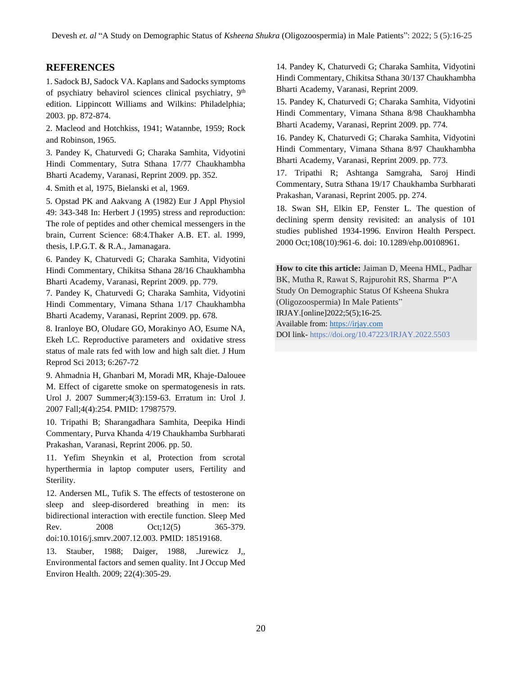# **REFERENCES**

1. Sadock BJ, Sadock VA. Kaplans and Sadocks symptoms of psychiatry behavirol sciences clinical psychiatry, 9th edition. Lippincott Williams and Wilkins: Philadelphia; 2003. pp. 872-874.

2. Macleod and Hotchkiss, 1941; Watannbe, 1959; Rock and Robinson, 1965.

3. Pandey K, Chaturvedi G; Charaka Samhita, Vidyotini Hindi Commentary, Sutra Sthana 17/77 Chaukhambha Bharti Academy, Varanasi, Reprint 2009. pp. 352.

4. Smith et al, 1975, Bielanski et al, 1969.

5. Opstad PK and Aakvang A (1982) Eur J Appl Physiol 49: 343-348 In: Herbert J (1995) stress and reproduction: The role of peptides and other chemical messengers in the brain, Current Science: 68:4.Thaker A.B. ET. al. 1999, thesis, I.P.G.T. & R.A., Jamanagara.

6. Pandey K, Chaturvedi G; Charaka Samhita, Vidyotini Hindi Commentary, Chikitsa Sthana 28/16 Chaukhambha Bharti Academy, Varanasi, Reprint 2009. pp. 779.

7. Pandey K, Chaturvedi G; Charaka Samhita, Vidyotini Hindi Commentary, Vimana Sthana 1/17 Chaukhambha Bharti Academy, Varanasi, Reprint 2009. pp. 678.

8. Iranloye BO, Oludare GO, Morakinyo AO, Esume NA, Ekeh LC. Reproductive parameters and oxidative stress status of male rats fed with low and high salt diet. J Hum Reprod Sci 2013; 6:267-72

9. Ahmadnia H, Ghanbari M, Moradi MR, Khaje-Dalouee M. Effect of cigarette smoke on spermatogenesis in rats. Urol J. 2007 Summer;4(3):159-63. Erratum in: Urol J. 2007 Fall;4(4):254. PMID: 17987579.

10. Tripathi B; Sharangadhara Samhita, Deepika Hindi Commentary, Purva Khanda 4/19 Chaukhamba Surbharati Prakashan, Varanasi, Reprint 2006. pp. 50.

11. Yefim Sheynkin et al, Protection from scrotal hyperthermia in laptop computer users, Fertility and Sterility.

12. Andersen ML, Tufik S. The effects of testosterone on sleep and sleep-disordered breathing in men: its bidirectional interaction with erectile function. Sleep Med Rev. 2008 Oct;12(5) 365-379. doi:10.1016/j.smrv.2007.12.003. PMID: 18519168.

13. Stauber, 1988; Daiger, 1988, .Jurewicz J,, Environmental factors and semen quality. Int J Occup Med Environ Health. 2009; 22(4):305-29.

14. Pandey K, Chaturvedi G; Charaka Samhita, Vidyotini Hindi Commentary, Chikitsa Sthana 30/137 Chaukhambha Bharti Academy, Varanasi, Reprint 2009.

15. Pandey K, Chaturvedi G; Charaka Samhita, Vidyotini Hindi Commentary, Vimana Sthana 8/98 Chaukhambha Bharti Academy, Varanasi, Reprint 2009. pp. 774.

16. Pandey K, Chaturvedi G; Charaka Samhita, Vidyotini Hindi Commentary, Vimana Sthana 8/97 Chaukhambha Bharti Academy, Varanasi, Reprint 2009. pp. 773.

17. Tripathi R; Ashtanga Samgraha, Saroj Hindi Commentary, Sutra Sthana 19/17 Chaukhamba Surbharati Prakashan, Varanasi, Reprint 2005. pp. 274.

18. Swan SH, Elkin EP, Fenster L. The question of declining sperm density revisited: an analysis of 101 studies published 1934-1996. Environ Health Perspect. 2000 Oct;108(10):961-6. doi: 10.1289/ehp.00108961.

**How to cite this article:** Jaiman D, Meena HML, Padhar BK, Mutha R, Rawat S, Rajpurohit RS, Sharma P"A Study On Demographic Status Of Ksheena Shukra (Oligozoospermia) In Male Patients" IRJAY.[online]2022;5(5);16-25. Available from: [https://irjay.com](https://irjay.com/) DOI link- https://doi.org/10.47223/IRJAY.2022.5503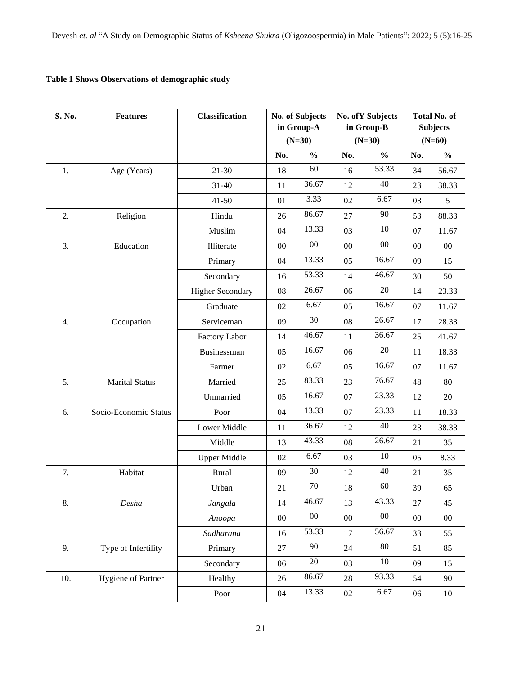# **Table 1 Shows Observations of demographic study**

| S. No. | <b>Features</b>           | <b>Classification</b>   | <b>No. of Subjects</b><br>in Group-A<br>$(N=30)$ |               | <b>No. of Y Subjects</b><br>in Group-B<br>$(N=30)$ |               | <b>Total No. of</b><br><b>Subjects</b><br>$(N=60)$ |               |
|--------|---------------------------|-------------------------|--------------------------------------------------|---------------|----------------------------------------------------|---------------|----------------------------------------------------|---------------|
|        |                           |                         | No.                                              | $\frac{0}{0}$ | No.                                                | $\frac{0}{0}$ | No.                                                | $\frac{0}{0}$ |
| 1.     | Age (Years)               | $21 - 30$               | 18                                               | 60            | 16                                                 | 53.33         | 34                                                 | 56.67         |
|        |                           | $31 - 40$               | 11                                               | 36.67         | 12                                                 | 40            | 23                                                 | 38.33         |
|        |                           | $41 - 50$               | 01                                               | 3.33          | 02                                                 | 6.67          | 03                                                 | 5             |
| 2.     | Religion                  | Hindu                   | 26                                               | 86.67         | 27                                                 | 90            | 53                                                 | 88.33         |
|        |                           | Muslim                  | 04                                               | 13.33         | 03                                                 | 10            | 07                                                 | 11.67         |
| 3.     | Education                 | Illiterate              | 00                                               | $00\,$        | 00                                                 | 00            | 00                                                 | $00\,$        |
|        |                           | Primary                 | 04                                               | 13.33         | 05                                                 | 16.67         | 09                                                 | 15            |
|        |                           | Secondary               | 16                                               | 53.33         | 14                                                 | 46.67         | 30                                                 | 50            |
|        |                           | <b>Higher Secondary</b> | 08                                               | 26.67         | 06                                                 | $20\,$        | 14                                                 | 23.33         |
|        |                           | Graduate                | 02                                               | 6.67          | 05                                                 | 16.67         | 07                                                 | 11.67         |
| 4.     | Occupation                | Serviceman              | 09                                               | 30            | 08                                                 | 26.67         | 17                                                 | 28.33         |
|        |                           | <b>Factory Labor</b>    | 14                                               | 46.67         | 11                                                 | 36.67         | 25                                                 | 41.67         |
|        |                           | Businessman             | 05                                               | 16.67         | 06                                                 | 20            | 11                                                 | 18.33         |
|        |                           | Farmer                  | 02                                               | 6.67          | 05                                                 | 16.67         | 07                                                 | 11.67         |
| 5.     | <b>Marital Status</b>     | Married                 | 25                                               | 83.33         | 23                                                 | 76.67         | 48                                                 | 80            |
|        |                           | Unmarried               | 05                                               | 16.67         | 07                                                 | 23.33         | 12                                                 | 20            |
| 6.     | Socio-Economic Status     | Poor                    | 04                                               | 13.33         | 07                                                 | 23.33         | 11                                                 | 18.33         |
|        |                           | Lower Middle            | 11                                               | 36.67         | 12                                                 | 40            | 23                                                 | 38.33         |
|        |                           | Middle                  | 13                                               | 43.33         | 08                                                 | 26.67         | 21                                                 | 35            |
|        |                           | <b>Upper Middle</b>     | 02                                               | 6.67          | 03                                                 | 10            | 05                                                 | 8.33          |
| 7.     | Habitat                   | Rural                   | 09                                               | 30            | 12                                                 | 40            | 21                                                 | 35            |
|        |                           | Urban                   | 21                                               | 70            | 18                                                 | 60            | 39                                                 | 65            |
| 8.     | Desha                     | Jangala                 | 14                                               | 46.67         | 13                                                 | 43.33         | 27                                                 | 45            |
|        |                           | Anoopa                  | $00\,$                                           | $00\,$        | $00\,$                                             | $00\,$        | $00\,$                                             | $00\,$        |
|        |                           | Sadharana               | 16                                               | 53.33         | 17                                                 | 56.67         | 33                                                 | 55            |
| 9.     | Type of Infertility       | Primary                 | 27                                               | 90            | 24                                                 | 80            | 51                                                 | 85            |
|        |                           | Secondary               | 06                                               | $20\,$        | 03                                                 | 10            | 09                                                 | 15            |
| 10.    | <b>Hygiene of Partner</b> | Healthy                 | 26                                               | 86.67         | 28                                                 | 93.33         | 54                                                 | 90            |
|        |                           | Poor                    | 04                                               | 13.33         | 02                                                 | 6.67          | 06                                                 | $10\,$        |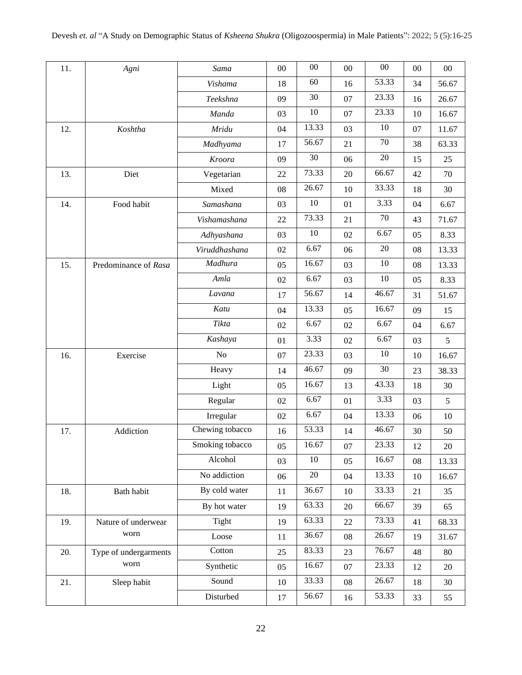| 11. | Agni                          | Sama            | 00 | $00\,$ | $00\,$ | $00\,$ | 00         | $00\,$ |
|-----|-------------------------------|-----------------|----|--------|--------|--------|------------|--------|
|     |                               | Vishama         | 18 | 60     | 16     | 53.33  | 34         | 56.67  |
|     |                               | Teekshna        | 09 | 30     | 07     | 23.33  | 16         | 26.67  |
|     |                               | Manda           | 03 | 10     | 07     | 23.33  | 10         | 16.67  |
| 12. | Koshtha                       | Mridu           | 04 | 13.33  | 03     | 10     | 07         | 11.67  |
|     |                               | Madhyama        | 17 | 56.67  | 21     | 70     | 38         | 63.33  |
|     |                               | Kroora          | 09 | 30     | 06     | 20     | 15         | 25     |
| 13. | Diet                          | Vegetarian      | 22 | 73.33  | 20     | 66.67  | 42         | 70     |
|     |                               | Mixed           | 08 | 26.67  | 10     | 33.33  | 18         | 30     |
| 14. | Food habit                    | Samashana       | 03 | 10     | 01     | 3.33   | 04         | 6.67   |
|     |                               | Vishamashana    | 22 | 73.33  | 21     | 70     | 43         | 71.67  |
|     |                               | Adhyashana      | 03 | 10     | 02     | 6.67   | 05         | 8.33   |
|     |                               | Viruddhashana   | 02 | 6.67   | 06     | 20     | 08         | 13.33  |
| 15. | Predominance of Rasa          | Madhura         | 05 | 16.67  | 03     | 10     | 08         | 13.33  |
|     |                               | Amla            | 02 | 6.67   | 03     | 10     | 05         | 8.33   |
|     |                               | Lavana          | 17 | 56.67  | 14     | 46.67  | 31         | 51.67  |
|     |                               | Katu            | 04 | 13.33  | 05     | 16.67  | 09         | 15     |
|     |                               | Tikta           | 02 | 6.67   | 02     | 6.67   | 04         | 6.67   |
|     |                               | Kashaya         | 01 | 3.33   | 02     | 6.67   | 03         | 5      |
| 16. | Exercise                      | No              | 07 | 23.33  | 03     | 10     | 10         | 16.67  |
|     |                               | Heavy           | 14 | 46.67  | 09     | 30     | 23         | 38.33  |
|     |                               | Light           | 05 | 16.67  | 13     | 43.33  | 18         | 30     |
|     |                               | Regular         | 02 | 6.67   | 01     | 3.33   | 03         | 5      |
|     |                               | Irregular       | 02 | 6.67   | 04     | 13.33  | 06         | 10     |
| 17. | Addiction                     | Chewing tobacco | 16 | 53.33  | 14     | 46.67  | 30         | 50     |
|     |                               | Smoking tobacco | 05 | 16.67  | 07     | 23.33  | 12         | 20     |
|     |                               | Alcohol         | 03 | $10\,$ | 05     | 16.67  | ${\bf 08}$ | 13.33  |
|     |                               | No addiction    | 06 | $20\,$ | 04     | 13.33  | 10         | 16.67  |
| 18. | Bath habit                    | By cold water   | 11 | 36.67  | 10     | 33.33  | 21         | 35     |
|     |                               | By hot water    | 19 | 63.33  | 20     | 66.67  | 39         | 65     |
| 19. | Nature of underwear           | Tight           | 19 | 63.33  | 22     | 73.33  | 41         | 68.33  |
|     | worn                          | Loose           | 11 | 36.67  | 08     | 26.67  | 19         | 31.67  |
| 20. | Type of undergarments<br>worn | Cotton          | 25 | 83.33  | 23     | 76.67  | 48         | 80     |
|     |                               | Synthetic       | 05 | 16.67  | 07     | 23.33  | 12         | $20\,$ |
| 21. | Sleep habit                   | Sound           | 10 | 33.33  | 08     | 26.67  | 18         | 30     |
|     |                               | Disturbed       | 17 | 56.67  | 16     | 53.33  | 33         | 55     |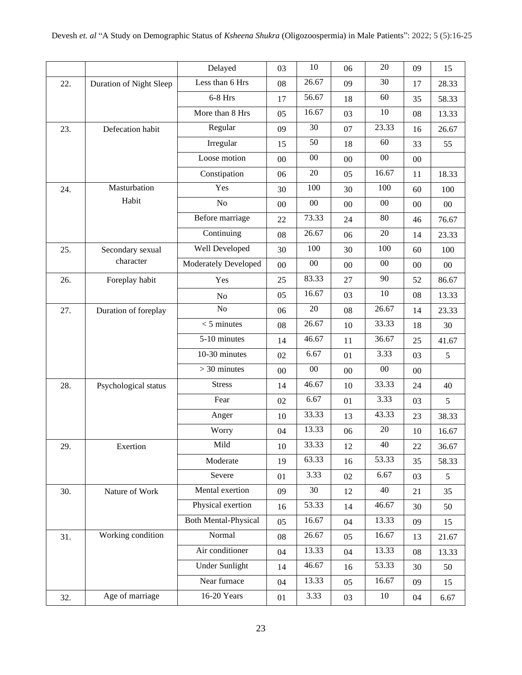|     |                         | Delayed                     | 03     | 10     | 06     | 20     | 09     | 15             |
|-----|-------------------------|-----------------------------|--------|--------|--------|--------|--------|----------------|
| 22. | Duration of Night Sleep | Less than 6 Hrs             | 08     | 26.67  | 09     | 30     | 17     | 28.33          |
|     |                         | $6-8$ Hrs                   | 17     | 56.67  | 18     | 60     | 35     | 58.33          |
|     |                         | More than 8 Hrs             | 05     | 16.67  | 03     | 10     | 08     | 13.33          |
| 23. | Defecation habit        | Regular                     | 09     | 30     | 07     | 23.33  | 16     | 26.67          |
|     |                         | Irregular                   | 15     | 50     | 18     | 60     | 33     | 55             |
|     |                         | Loose motion                | $00\,$ | $00\,$ | 00     | $00\,$ | $00\,$ |                |
|     |                         | Constipation                | 06     | 20     | 05     | 16.67  | 11     | 18.33          |
| 24. | Masturbation            | Yes                         | 30     | 100    | 30     | 100    | 60     | 100            |
|     | Habit                   | No                          | 00     | $00\,$ | $00\,$ | $00\,$ | 00     | $00\,$         |
|     |                         | Before marriage             | 22     | 73.33  | 24     | 80     | 46     | 76.67          |
|     |                         | Continuing                  | 08     | 26.67  | 06     | 20     | 14     | 23.33          |
| 25. | Secondary sexual        | Well Developed              | 30     | 100    | 30     | 100    | 60     | 100            |
|     | character               | <b>Moderately Developed</b> | 00     | $00\,$ | $00\,$ | $00\,$ | 00     | $00\,$         |
| 26. | Foreplay habit          | Yes                         | 25     | 83.33  | 27     | 90     | 52     | 86.67          |
|     |                         | N <sub>o</sub>              | 05     | 16.67  | 03     | 10     | 08     | 13.33          |
| 27. | Duration of foreplay    | N <sub>o</sub>              | 06     | 20     | 08     | 26.67  | 14     | 23.33          |
|     |                         | $<$ 5 minutes               | 08     | 26.67  | 10     | 33.33  | 18     | 30             |
|     |                         | 5-10 minutes                | 14     | 46.67  | 11     | 36.67  | 25     | 41.67          |
|     |                         | 10-30 minutes               | 02     | 6.67   | 01     | 3.33   | 03     | 5              |
|     |                         | $>$ 30 minutes              | 00     | $00\,$ | $00\,$ | 00     | $00\,$ |                |
| 28. | Psychological status    | <b>Stress</b>               | 14     | 46.67  | 10     | 33.33  | 24     | 40             |
|     |                         | Fear                        | 02     | 6.67   | 01     | 3.33   | 03     | 5              |
|     |                         | Anger                       | 10     | 33.33  | 13     | 43.33  | 23     | 38.33          |
|     |                         | Worry                       | 04     | 13.33  | 06     | 20     | 10     | 16.67          |
| 29. | Exertion                | Mild                        | $10\,$ | 33.33  | 12     | 40     | 22     | 36.67          |
|     |                         | Moderate                    | 19     | 63.33  | 16     | 53.33  | 35     | 58.33          |
|     |                         | Severe                      | 01     | 3.33   | 02     | 6.67   | 03     | $\mathfrak{S}$ |
| 30. | Nature of Work          | Mental exertion             | 09     | 30     | 12     | 40     | 21     | 35             |
|     |                         | Physical exertion           | 16     | 53.33  | 14     | 46.67  | 30     | 50             |
|     |                         | <b>Both Mental-Physical</b> | 05     | 16.67  | 04     | 13.33  | 09     | 15             |
| 31. | Working condition       | Normal                      | 08     | 26.67  | 05     | 16.67  | 13     | 21.67          |
|     |                         | Air conditioner             | 04     | 13.33  | 04     | 13.33  | 08     | 13.33          |
|     |                         | <b>Under Sunlight</b>       | 14     | 46.67  | 16     | 53.33  | 30     | 50             |
|     |                         | Near furnace                | 04     | 13.33  | 05     | 16.67  | 09     | 15             |
| 32. | Age of marriage         | 16-20 Years                 | 01     | 3.33   | 03     | 10     | 04     | 6.67           |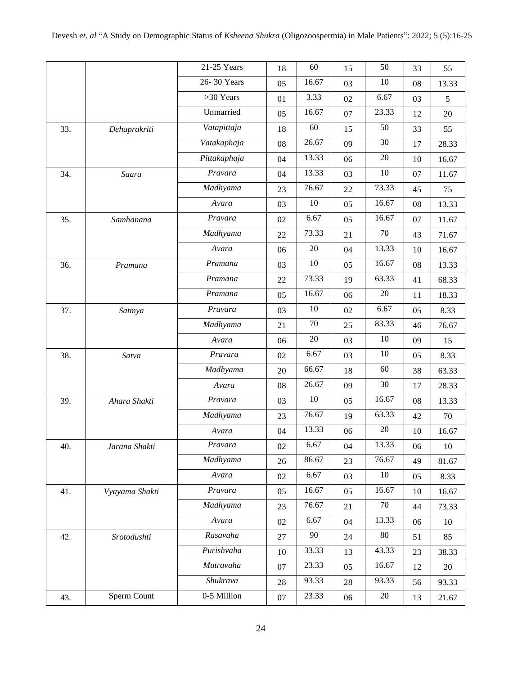|     |                | 21-25 Years  |        | 60     |    |        |    |           |
|-----|----------------|--------------|--------|--------|----|--------|----|-----------|
|     |                |              | 18     |        | 15 | 50     | 33 | 55        |
|     |                | 26-30 Years  | 05     | 16.67  | 03 | 10     | 08 | 13.33     |
|     |                | >30 Years    | 01     | 3.33   | 02 | 6.67   | 03 | 5         |
|     |                | Unmarried    | 05     | 16.67  | 07 | 23.33  | 12 | 20        |
| 33. | Dehaprakriti   | Vatapittaja  | 18     | 60     | 15 | 50     | 33 | 55        |
|     |                | Vatakaphaja  | 08     | 26.67  | 09 | 30     | 17 | 28.33     |
|     |                | Pittakaphaja | 04     | 13.33  | 06 | 20     | 10 | 16.67     |
| 34. | Saara          | Pravara      | 04     | 13.33  | 03 | 10     | 07 | 11.67     |
|     |                | Madhyama     | 23     | 76.67  | 22 | 73.33  | 45 | 75        |
|     |                | Avara        | 03     | $10\,$ | 05 | 16.67  | 08 | 13.33     |
| 35. | Samhanana      | Pravara      | 02     | 6.67   | 05 | 16.67  | 07 | 11.67     |
|     |                | Madhyama     | 22     | 73.33  | 21 | 70     | 43 | 71.67     |
|     |                | Avara        | 06     | 20     | 04 | 13.33  | 10 | 16.67     |
| 36. | Pramana        | Pramana      | 03     | 10     | 05 | 16.67  | 08 | 13.33     |
|     |                | Pramana      | 22     | 73.33  | 19 | 63.33  | 41 | 68.33     |
|     |                | Pramana      | 05     | 16.67  | 06 | $20\,$ | 11 | 18.33     |
| 37. | Satmya         | Pravara      | 03     | 10     | 02 | 6.67   | 05 | 8.33      |
|     |                | Madhyama     | 21     | 70     | 25 | 83.33  | 46 | 76.67     |
|     |                | Avara        | 06     | 20     | 03 | 10     | 09 | 15        |
| 38. | Satva          | Pravara      | 02     | 6.67   | 03 | 10     | 05 | 8.33      |
|     |                | Madhyama     | 20     | 66.67  | 18 | 60     | 38 | 63.33     |
|     |                | Avara        | 08     | 26.67  | 09 | 30     | 17 | 28.33     |
| 39. | Ahara Shakti   | Pravara      | 03     | 10     | 05 | 16.67  | 08 | 13.33     |
|     |                | Madhyama     | 23     | 76.67  | 19 | 63.33  | 42 | $70\,$    |
|     |                | Avara        | 04     | 13.33  | 06 | 20     | 10 | 16.67     |
| 40. | Jarana Shakti  | Pravara      | 02     | 6.67   | 04 | 13.33  | 06 | $10\,$    |
|     |                | Madhyama     | 26     | 86.67  | 23 | 76.67  | 49 | $81.67\,$ |
|     |                | Avara        | 02     | 6.67   | 03 | $10\,$ | 05 | 8.33      |
| 41. | Vyayama Shakti | Pravara      | 05     | 16.67  | 05 | 16.67  | 10 | 16.67     |
|     |                | Madhyama     | 23     | 76.67  | 21 | 70     | 44 | 73.33     |
|     |                | Avara        | 02     | 6.67   | 04 | 13.33  | 06 | 10        |
| 42. | Srotodushti    | Rasavaha     | 27     | 90     | 24 | 80     | 51 | 85        |
|     |                | Purishvaha   | 10     | 33.33  | 13 | 43.33  | 23 | 38.33     |
|     |                | Mutravaha    | 07     | 23.33  | 05 | 16.67  | 12 | $20\,$    |
|     |                | Shukrava     | $28\,$ | 93.33  | 28 | 93.33  | 56 | 93.33     |
|     |                | 0-5 Million  |        | 23.33  |    | 20     |    |           |